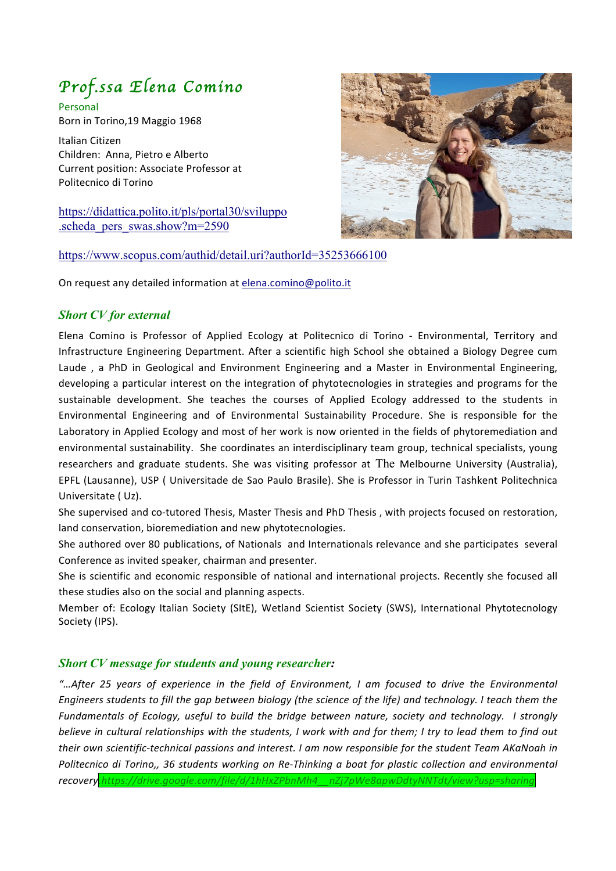# *Prof.ssa Elena Comino*

Personal Born in Torino.19 Maggio 1968

Italian Citizen Children: Anna, Pietro e Alberto Current position: Associate Professor at Politecnico di Torino

https://didattica.polito.it/pls/portal30/sviluppo .scheda\_pers\_swas.show?m=2590



#### https://www.scopus.com/authid/detail.uri?authorId=35253666100

On request any detailed information at elena.comino@polito.it

## *Short CV for external*

Elena Comino is Professor of Applied Ecology at Politecnico di Torino - Environmental, Territory and Infrastructure Engineering Department. After a scientific high School she obtained a Biology Degree cum Laude, a PhD in Geological and Environment Engineering and a Master in Environmental Engineering, developing a particular interest on the integration of phytotecnologies in strategies and programs for the sustainable development. She teaches the courses of Applied Ecology addressed to the students in Environmental Engineering and of Environmental Sustainability Procedure. She is responsible for the Laboratory in Applied Ecology and most of her work is now oriented in the fields of phytoremediation and environmental sustainability. She coordinates an interdisciplinary team group, technical specialists, young researchers and graduate students. She was visiting professor at The Melbourne University (Australia), EPFL (Lausanne), USP ( Universitade de Sao Paulo Brasile). She is Professor in Turin Tashkent Politechnica Universitate (Uz).

She supervised and co-tutored Thesis, Master Thesis and PhD Thesis, with projects focused on restoration, land conservation, bioremediation and new phytotecnologies.

She authored over 80 publications, of Nationals and Internationals relevance and she participates several Conference as invited speaker, chairman and presenter.

She is scientific and economic responsible of national and international projects. Recently she focused all these studies also on the social and planning aspects.

Member of: Ecology Italian Society (SItE), Wetland Scientist Society (SWS), International Phytotecnology Society (IPS).

### *Short CV message for students and young researcher:*

*"…After 25 years of experience in the field of Environment, I am focused to drive the Environmental Engineers students to fill the gap between biology (the science of the life) and technology. I teach them the Fundamentals of Ecology, useful to build the bridge between nature, society and technology. I strongly believe in cultural relationships with the students, I work with and for them; I try to lead them to find out their* own scientific-technical passions and interest. I am now responsible for the student Team AKaNoah in *Politecnico di Torino,, 36 students working on Re-Thinking a boat for plastic collection and environmental recovery.https://drive.google.com/file/d/1hHxZPbnMh4\_\_nZj7pWe8apwDdtyNNTdt/view?usp=sharing*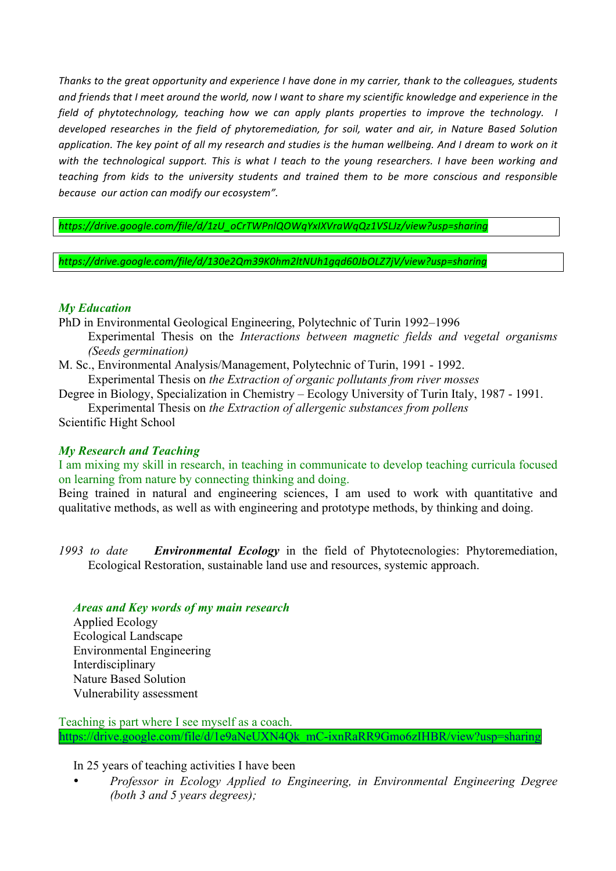*Thanks to the great opportunity and experience I have done in my carrier, thank to the colleagues, students* and friends that I meet around the world, now I want to share my scientific knowledge and experience in the *field* of phytotechnology, teaching how we can apply plants properties to improve the technology. I developed researches in the field of phytoremediation, for soil, water and air, in Nature Based Solution application. The key point of all my research and studies is the human wellbeing. And I dream to work on it *with* the technological support. This is what I teach to the young researchers. I have been working and *teaching from kids to the university students and trained them to be more conscious and responsible because our action can modify our ecosystem".*

*https://drive.google.com/file/d/1zU\_oCrTWPnlQOWqYxIXVraWqQz1VSLJz/view?usp=sharing*

*https://drive.google.com/file/d/130e2Qm39K0hm2ltNUh1gqd60JbOLZ7jV/view?usp=sharing*

## *My Education*

- PhD in Environmental Geological Engineering, Polytechnic of Turin 1992–1996 Experimental Thesis on the *Interactions between magnetic fields and vegetal organisms (Seeds germination)*
- M. Sc., Environmental Analysis/Management, Polytechnic of Turin, 1991 1992.

Experimental Thesis on *the Extraction of organic pollutants from river mosses*

Degree in Biology, Specialization in Chemistry – Ecology University of Turin Italy, 1987 - 1991.

Experimental Thesis on *the Extraction of allergenic substances from pollens*

Scientific Hight School

### *My Research and Teaching*

I am mixing my skill in research, in teaching in communicate to develop teaching curricula focused on learning from nature by connecting thinking and doing.

Being trained in natural and engineering sciences, I am used to work with quantitative and qualitative methods, as well as with engineering and prototype methods, by thinking and doing.

*1993 to date Environmental Ecology* in the field of Phytotecnologies: Phytoremediation, Ecological Restoration, sustainable land use and resources, systemic approach.

## *Areas and Key words of my main research*

Applied Ecology Ecological Landscape Environmental Engineering Interdisciplinary Nature Based Solution Vulnerability assessment

Teaching is part where I see myself as a coach. https://drive.google.com/file/d/1e9aNeUXN4Qk\_mC-ixnRaRR9Gmo6zIHBR/view?usp=sharing

In 25 years of teaching activities I have been

• *Professor in Ecology Applied to Engineering, in Environmental Engineering Degree (both 3 and 5 years degrees);*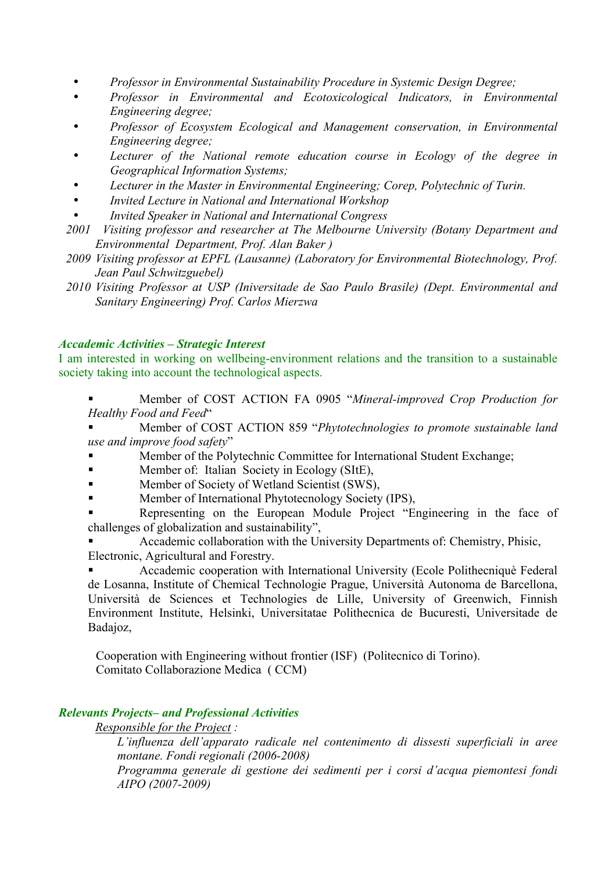- *Professor in Environmental Sustainability Procedure in Systemic Design Degree;*
- *Professor in Environmental and Ecotoxicological Indicators, in Environmental Engineering degree;*
- *Professor of Ecosystem Ecological and Management conservation, in Environmental Engineering degree;*
- *Lecturer of the National remote education course in Ecology of the degree in Geographical Information Systems;*
- *Lecturer in the Master in Environmental Engineering; Corep, Polytechnic of Turin.*
- *Invited Lecture in National and International Workshop*
- *Invited Speaker in National and International Congress*
- *2001 Visiting professor and researcher at The Melbourne University (Botany Department and Environmental Department, Prof. Alan Baker )*
- *2009 Visiting professor at EPFL (Lausanne) (Laboratory for Environmental Biotechnology, Prof. Jean Paul Schwitzguebel)*
- *2010 Visiting Professor at USP (Iniversitade de Sao Paulo Brasile) (Dept. Environmental and Sanitary Engineering) Prof. Carlos Mierzwa*

## *Accademic Activities – Strategic Interest*

I am interested in working on wellbeing-environment relations and the transition to a sustainable society taking into account the technological aspects.

§ Member of COST ACTION FA 0905 "*Mineral-improved Crop Production for Healthy Food and Feed*"

§ Member of COST ACTION 859 "*Phytotechnologies to promote sustainable land use and improve food safety*"

- § Member of the Polytechnic Committee for International Student Exchange;
- Member of: Italian Society in Ecology (SItE),
- Member of Society of Wetland Scientist (SWS),
- § Member of International Phytotecnology Society (IPS),
- Representing on the European Module Project "Engineering in the face of challenges of globalization and sustainability",

§ Accademic collaboration with the University Departments of: Chemistry, Phisic, Electronic, Agricultural and Forestry.

§ Accademic cooperation with International University (Ecole Polithecniquè Federal de Losanna, Institute of Chemical Technologie Prague, Università Autonoma de Barcellona, Università de Sciences et Technologies de Lille, University of Greenwich, Finnish Environment Institute, Helsinki, Universitatae Polithecnica de Bucuresti, Universitade de Badajoz,

Cooperation with Engineering without frontier (ISF) (Politecnico di Torino). Comitato Collaborazione Medica ( CCM)

## *Relevants Projects– and Professional Activities*

*Responsible for the Project :* 

*L'influenza dell'apparato radicale nel contenimento di dissesti superficiali in aree montane. Fondi regionali (2006-2008)* 

*Programma generale di gestione dei sedimenti per i corsi d'acqua piemontesi fondi AIPO (2007-2009)*